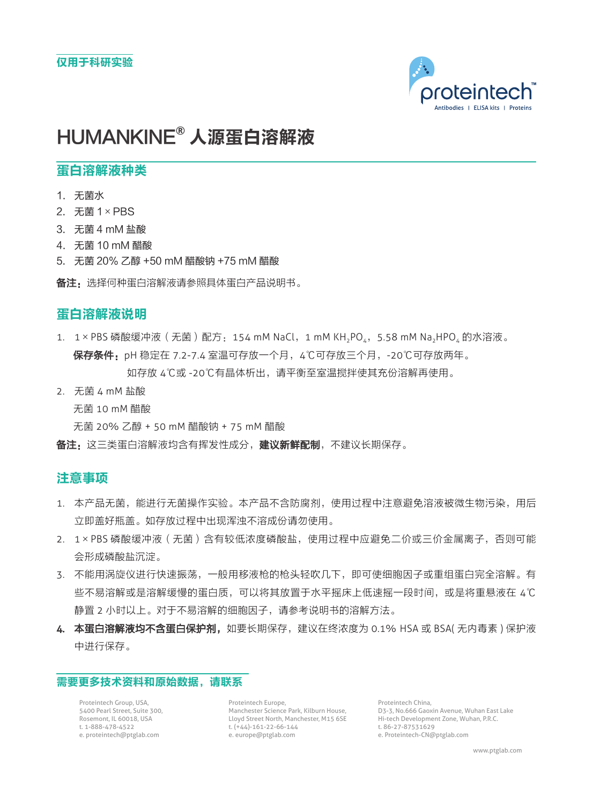

# HUMANKINE**®** 人源蛋白溶解液

## 蛋白溶解液种类

- 1. 无菌水
- 2. 无菌 1×PBS
- 3. 无菌 4 mM 盐酸
- 4. 无菌 10 mM 醋酸
- 5. 无菌 20% 乙醇 +50 mM 醋酸钠 +75 mM 醋酸

备注:选择何种蛋白溶解液请参照具体蛋白产品说明书。

### 蛋白溶解液说明

- 1. 1×PBS 磷酸缓冲液 (无菌)配方: 154 mM NaCl, 1 mM KH<sub>2</sub>PO4, 5.58 mM Na<sub>2</sub>HPO4 的水溶液。 保存条件:pH 稳定在 7.2-7.4 室温可存放一个月,4℃可存放三个月,-20℃可存放两年。 如存放 4℃或 -20℃有晶体析出,请平衡至室温搅拌使其充份溶解再使用。
- 2. 无菌 4 mM 盐酸

无菌 10 mM 醋酸

无菌 20% 乙醇 + 50 mM 醋酸钠 + 75 mM 醋酸

备注:这三类蛋白溶解液均含有挥发性成分,建议新鲜配制,不建议长期保存。

### 注意事项

- 1. 本产品无菌,能进行无菌操作实验。本产品不含防腐剂,使用过程中注意避免溶液被微生物污染,用后 立即盖好瓶盖。如存放过程中出现浑浊不溶成份请勿使用。
- 2. 1×PBS 磷酸缓冲液 (无菌)含有较低浓度磷酸盐,使用过程中应避免二价或三价金属离子,否则可能 会形成磷酸盐沉淀。
- 3. 不能用涡旋仪进行快速振荡,一般用移液枪的枪头轻吹几下,即可使细胞因子或重组蛋白完全溶解。有 些不易溶解或是溶解缓慢的蛋白质,可以将其放置于水平摇床上低速摇一段时间,或是将重悬液在 4℃ 静置 2 小时以上。对于不易溶解的细胞因子,请参考说明书的溶解方法。
- 4. 本蛋白溶解液均不含蛋白保护剂,如要长期保存,建议在终浓度为 0.1% HSA 或 BSA( 无内毒素 )保护液 中进行保存。

#### 需要更多技术资料和原始数据,请联系

Proteintech Group, USA, 5400 Pearl Street, Suite 300, Rosemont, IL 60018, USA t. 1-888-478-4522 e. proteintech@ptglab.com

Proteintech Europe, Manchester Science Park, Kilburn House, Lloyd Street North, Manchester, M15 6SE t. (+44)-161-22-66-144 e. europe@ptglab.com

Proteintech China, D3-3, No.666 Gaoxin Avenue, Wuhan East Lake Hi-tech Development Zone, Wuhan, P.R.C. t. 86-27-87531629 e. Proteintech-CN@ptglab.com